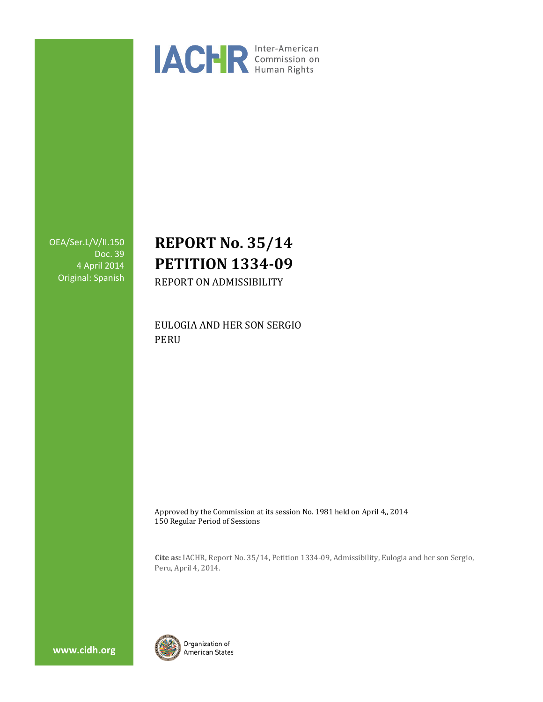

OEA/Ser.L/V/II.150 Doc. 39 4 April 2014 Original: Spanish

# **REPORT No. 35/14 PETITION 1334-09** REPORT ON ADMISSIBILITY

EULOGIA AND HER SON SERGIO PERU

Approved by the Commission at its session No. 1981 held on April 4,, 2014 150 Regular Period of Sessions

**Cite as:** IACHR, Report No. 35/14, Petition 1334-09, Admissibility, Eulogia and her son Sergio, Peru, April 4, 2014.



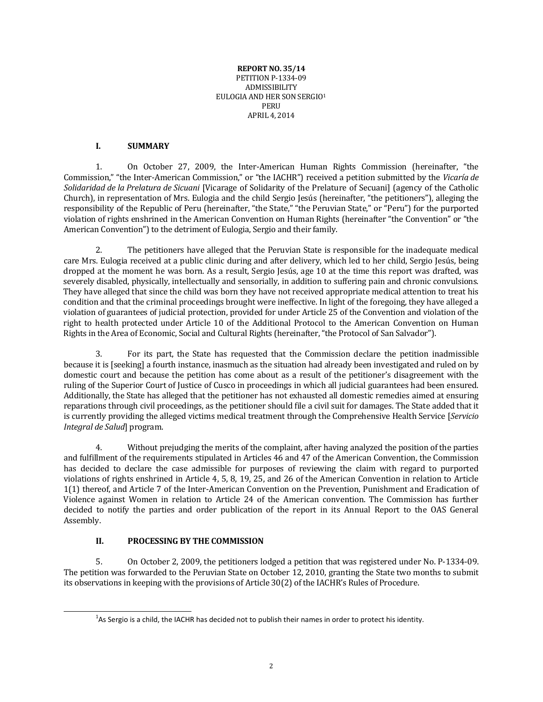#### **REPORT NO. 35/14** PETITION P-1334-09 ADMISSIBILITY EULOGIA AND HER SON SERGIO[1](#page-1-0) PERU APRIL 4, 2014

#### **I. SUMMARY**

1. On October 27, 2009, the Inter-American Human Rights Commission (hereinafter, "the Commission," "the Inter-American Commission," or "the IACHR") received a petition submitted by the *Vicaría de Solidaridad de la Prelatura de Sicuani* [Vicarage of Solidarity of the Prelature of Secuani] (agency of the Catholic Church), in representation of Mrs. Eulogia and the child Sergio Jesús (hereinafter, "the petitioners"), alleging the responsibility of the Republic of Peru (hereinafter, "the State," "the Peruvian State," or "Peru") for the purported violation of rights enshrined in the American Convention on Human Rights (hereinafter "the Convention" or "the American Convention") to the detriment of Eulogia, Sergio and their family.

2. The petitioners have alleged that the Peruvian State is responsible for the inadequate medical care Mrs. Eulogia received at a public clinic during and after delivery, which led to her child, Sergio Jesús, being dropped at the moment he was born. As a result, Sergio Jesús, age 10 at the time this report was drafted, was severely disabled, physically, intellectually and sensorially, in addition to suffering pain and chronic convulsions. They have alleged that since the child was born they have not received appropriate medical attention to treat his condition and that the criminal proceedings brought were ineffective. In light of the foregoing, they have alleged a violation of guarantees of judicial protection, provided for under Article 25 of the Convention and violation of the right to health protected under Article 10 of the Additional Protocol to the American Convention on Human Rights in the Area of Economic, Social and Cultural Rights (hereinafter, "the Protocol of San Salvador").

3. For its part, the State has requested that the Commission declare the petition inadmissible because it is [seeking] a fourth instance, inasmuch as the situation had already been investigated and ruled on by domestic court and because the petition has come about as a result of the petitioner's disagreement with the ruling of the Superior Court of Justice of Cusco in proceedings in which all judicial guarantees had been ensured. Additionally, the State has alleged that the petitioner has not exhausted all domestic remedies aimed at ensuring reparations through civil proceedings, as the petitioner should file a civil suit for damages. The State added that it is currently providing the alleged victims medical treatment through the Comprehensive Health Service [*Servicio Integral de Salud*] program.

4. Without prejudging the merits of the complaint, after having analyzed the position of the parties and fulfillment of the requirements stipulated in Articles 46 and 47 of the American Convention, the Commission has decided to declare the case admissible for purposes of reviewing the claim with regard to purported violations of rights enshrined in Article 4, 5, 8, 19, 25, and 26 of the American Convention in relation to Article 1(1) thereof, and Article 7 of the Inter-American Convention on the Prevention, Punishment and Eradication of Violence against Women in relation to Article 24 of the American convention. The Commission has further decided to notify the parties and order publication of the report in its Annual Report to the OAS General Assembly.

### **II. PROCESSING BY THE COMMISSION**

<span id="page-1-0"></span>֧֞֝֬֝֬֝֬֝֬֝֬֝֬֝

5. On October 2, 2009, the petitioners lodged a petition that was registered under No. P-1334-09. The petition was forwarded to the Peruvian State on October 12, 2010, granting the State two months to submit its observations in keeping with the provisions of Article 30(2) of the IACHR's Rules of Procedure.

 $^{1}$ As Sergio is a child, the IACHR has decided not to publish their names in order to protect his identity.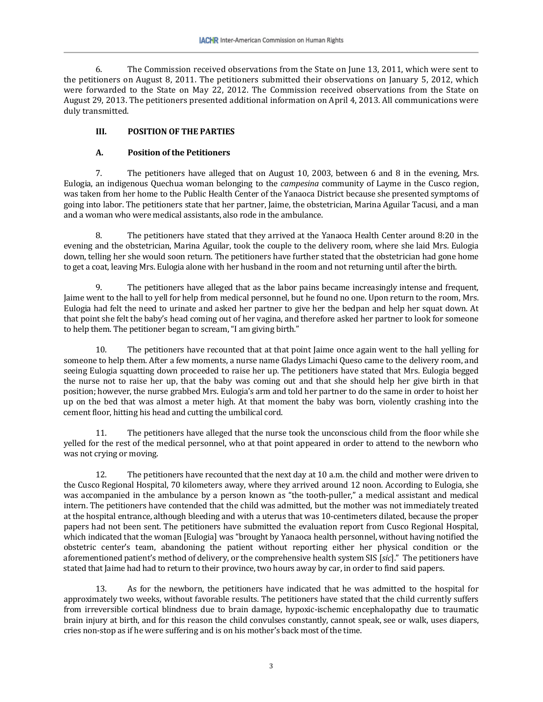6. The Commission received observations from the State on June 13, 2011, which were sent to the petitioners on August 8, 2011. The petitioners submitted their observations on January 5, 2012, which were forwarded to the State on May 22, 2012. The Commission received observations from the State on August 29, 2013. The petitioners presented additional information on April 4, 2013. All communications were duly transmitted.

### **III. POSITION OF THE PARTIES**

### **A. Position of the Petitioners**

7. The petitioners have alleged that on August 10, 2003, between 6 and 8 in the evening, Mrs. Eulogia, an indigenous Quechua woman belonging to the *campesina* community of Layme in the Cusco region, was taken from her home to the Public Health Center of the Yanaoca District because she presented symptoms of going into labor. The petitioners state that her partner, Jaime, the obstetrician, Marina Aguilar Tacusi, and a man and a woman who were medical assistants, also rode in the ambulance.

8. The petitioners have stated that they arrived at the Yanaoca Health Center around 8:20 in the evening and the obstetrician, Marina Aguilar, took the couple to the delivery room, where she laid Mrs. Eulogia down, telling her she would soon return. The petitioners have further stated that the obstetrician had gone home to get a coat, leaving Mrs. Eulogia alone with her husband in the room and not returning until after the birth.

9. The petitioners have alleged that as the labor pains became increasingly intense and frequent, Jaime went to the hall to yell for help from medical personnel, but he found no one. Upon return to the room, Mrs. Eulogia had felt the need to urinate and asked her partner to give her the bedpan and help her squat down. At that point she felt the baby's head coming out of her vagina, and therefore asked her partner to look for someone to help them. The petitioner began to scream, "I am giving birth."

10. The petitioners have recounted that at that point Jaime once again went to the hall yelling for someone to help them. After a few moments, a nurse name Gladys Limachi Queso came to the delivery room, and seeing Eulogia squatting down proceeded to raise her up. The petitioners have stated that Mrs. Eulogia begged the nurse not to raise her up, that the baby was coming out and that she should help her give birth in that position; however, the nurse grabbed Mrs. Eulogia's arm and told her partner to do the same in order to hoist her up on the bed that was almost a meter high. At that moment the baby was born, violently crashing into the cement floor, hitting his head and cutting the umbilical cord.

11. The petitioners have alleged that the nurse took the unconscious child from the floor while she yelled for the rest of the medical personnel, who at that point appeared in order to attend to the newborn who was not crying or moving.

12. The petitioners have recounted that the next day at 10 a.m. the child and mother were driven to the Cusco Regional Hospital, 70 kilometers away, where they arrived around 12 noon. According to Eulogia, she was accompanied in the ambulance by a person known as "the tooth-puller," a medical assistant and medical intern. The petitioners have contended that the child was admitted, but the mother was not immediately treated at the hospital entrance, although bleeding and with a uterus that was 10-centimeters dilated, because the proper papers had not been sent. The petitioners have submitted the evaluation report from Cusco Regional Hospital, which indicated that the woman [Eulogia] was "brought by Yanaoca health personnel, without having notified the obstetric center's team, abandoning the patient without reporting either her physical condition or the aforementioned patient's method of delivery, or the comprehensive health system SIS [*sic*]." The petitioners have stated that Jaime had had to return to their province, two hours away by car, in order to find said papers.

13. As for the newborn, the petitioners have indicated that he was admitted to the hospital for approximately two weeks, without favorable results. The petitioners have stated that the child currently suffers from irreversible cortical blindness due to brain damage, hypoxic-ischemic encephalopathy due to traumatic brain injury at birth, and for this reason the child convulses constantly, cannot speak, see or walk, uses diapers, cries non-stop as if he were suffering and is on his mother's back most of the time.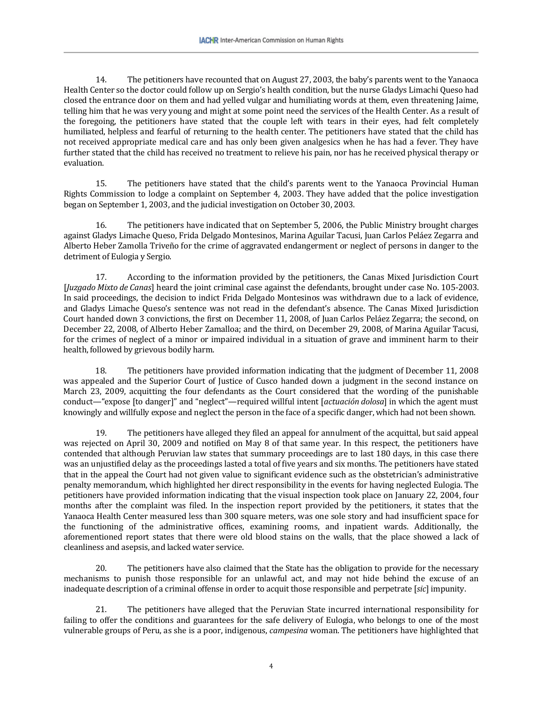14. The petitioners have recounted that on August 27, 2003, the baby's parents went to the Yanaoca Health Center so the doctor could follow up on Sergio's health condition, but the nurse Gladys Limachi Queso had closed the entrance door on them and had yelled vulgar and humiliating words at them, even threatening Jaime, telling him that he was very young and might at some point need the services of the Health Center. As a result of the foregoing, the petitioners have stated that the couple left with tears in their eyes, had felt completely humiliated, helpless and fearful of returning to the health center. The petitioners have stated that the child has not received appropriate medical care and has only been given analgesics when he has had a fever. They have further stated that the child has received no treatment to relieve his pain, nor has he received physical therapy or evaluation.

15. The petitioners have stated that the child's parents went to the Yanaoca Provincial Human Rights Commission to lodge a complaint on September 4, 2003. They have added that the police investigation began on September 1, 2003, and the judicial investigation on October 30, 2003.

16. The petitioners have indicated that on September 5, 2006, the Public Ministry brought charges against Gladys Limache Queso, Frida Delgado Montesinos, Marina Aguilar Tacusi, Juan Carlos Peláez Zegarra and Alberto Heber Zamolla Triveño for the crime of aggravated endangerment or neglect of persons in danger to the detriment of Eulogia y Sergio.

17. According to the information provided by the petitioners, the Canas Mixed Jurisdiction Court [*Juzgado Mixto de Canas*] heard the joint criminal case against the defendants, brought under case No. 105-2003. In said proceedings, the decision to indict Frida Delgado Montesinos was withdrawn due to a lack of evidence, and Gladys Limache Queso's sentence was not read in the defendant's absence. The Canas Mixed Jurisdiction Court handed down 3 convictions, the first on December 11, 2008, of Juan Carlos Peláez Zegarra; the second, on December 22, 2008, of Alberto Heber Zamalloa; and the third, on December 29, 2008, of Marina Aguilar Tacusi, for the crimes of neglect of a minor or impaired individual in a situation of grave and imminent harm to their health, followed by grievous bodily harm.

18. The petitioners have provided information indicating that the judgment of December 11, 2008 was appealed and the Superior Court of Justice of Cusco handed down a judgment in the second instance on March 23, 2009, acquitting the four defendants as the Court considered that the wording of the punishable conduct—"expose [to danger]" and "neglect"—required willful intent [*actuación dolosa*] in which the agent must knowingly and willfully expose and neglect the person in the face of a specific danger, which had not been shown.

19. The petitioners have alleged they filed an appeal for annulment of the acquittal, but said appeal was rejected on April 30, 2009 and notified on May 8 of that same year. In this respect, the petitioners have contended that although Peruvian law states that summary proceedings are to last 180 days, in this case there was an unjustified delay as the proceedings lasted a total of five years and six months. The petitioners have stated that in the appeal the Court had not given value to significant evidence such as the obstetrician's administrative penalty memorandum, which highlighted her direct responsibility in the events for having neglected Eulogia. The petitioners have provided information indicating that the visual inspection took place on January 22, 2004, four months after the complaint was filed. In the inspection report provided by the petitioners, it states that the Yanaoca Health Center measured less than 300 square meters, was one sole story and had insufficient space for the functioning of the administrative offices, examining rooms, and inpatient wards. Additionally, the aforementioned report states that there were old blood stains on the walls, that the place showed a lack of cleanliness and asepsis, and lacked water service.

20. The petitioners have also claimed that the State has the obligation to provide for the necessary mechanisms to punish those responsible for an unlawful act, and may not hide behind the excuse of an inadequate description of a criminal offense in order to acquit those responsible and perpetrate [*sic*] impunity.

21. The petitioners have alleged that the Peruvian State incurred international responsibility for failing to offer the conditions and guarantees for the safe delivery of Eulogia, who belongs to one of the most vulnerable groups of Peru, as she is a poor, indigenous, *campesina* woman. The petitioners have highlighted that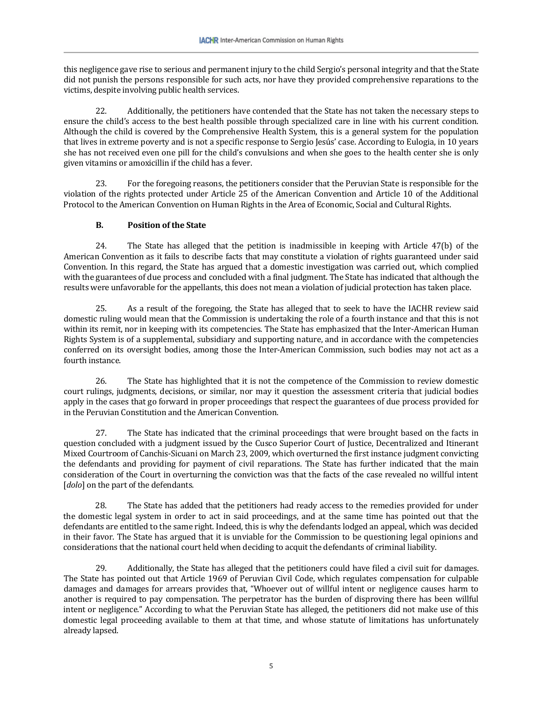this negligence gave rise to serious and permanent injury to the child Sergio's personal integrity and that the State did not punish the persons responsible for such acts, nor have they provided comprehensive reparations to the victims, despite involving public health services.

22. Additionally, the petitioners have contended that the State has not taken the necessary steps to ensure the child's access to the best health possible through specialized care in line with his current condition. Although the child is covered by the Comprehensive Health System, this is a general system for the population that lives in extreme poverty and is not a specific response to Sergio Jesús' case. According to Eulogia, in 10 years she has not received even one pill for the child's convulsions and when she goes to the health center she is only given vitamins or amoxicillin if the child has a fever.

23. For the foregoing reasons, the petitioners consider that the Peruvian State is responsible for the violation of the rights protected under Article 25 of the American Convention and Article 10 of the Additional Protocol to the American Convention on Human Rights in the Area of Economic, Social and Cultural Rights.

### **B. Position of the State**

24. The State has alleged that the petition is inadmissible in keeping with Article 47(b) of the American Convention as it fails to describe facts that may constitute a violation of rights guaranteed under said Convention. In this regard, the State has argued that a domestic investigation was carried out, which complied with the guarantees of due process and concluded with a final judgment. The State has indicated that although the results were unfavorable for the appellants, this does not mean a violation of judicial protection has taken place.

25. As a result of the foregoing, the State has alleged that to seek to have the IACHR review said domestic ruling would mean that the Commission is undertaking the role of a fourth instance and that this is not within its remit, nor in keeping with its competencies. The State has emphasized that the Inter-American Human Rights System is of a supplemental, subsidiary and supporting nature, and in accordance with the competencies conferred on its oversight bodies, among those the Inter-American Commission, such bodies may not act as a fourth instance.

26. The State has highlighted that it is not the competence of the Commission to review domestic court rulings, judgments, decisions, or similar, nor may it question the assessment criteria that judicial bodies apply in the cases that go forward in proper proceedings that respect the guarantees of due process provided for in the Peruvian Constitution and the American Convention.

27. The State has indicated that the criminal proceedings that were brought based on the facts in question concluded with a judgment issued by the Cusco Superior Court of Justice, Decentralized and Itinerant Mixed Courtroom of Canchis-Sicuani on March 23, 2009, which overturned the first instance judgment convicting the defendants and providing for payment of civil reparations. The State has further indicated that the main consideration of the Court in overturning the conviction was that the facts of the case revealed no willful intent [*dolo*] on the part of the defendants.

28. The State has added that the petitioners had ready access to the remedies provided for under the domestic legal system in order to act in said proceedings, and at the same time has pointed out that the defendants are entitled to the same right. Indeed, this is why the defendants lodged an appeal, which was decided in their favor. The State has argued that it is unviable for the Commission to be questioning legal opinions and considerations that the national court held when deciding to acquit the defendants of criminal liability.

29. Additionally, the State has alleged that the petitioners could have filed a civil suit for damages. The State has pointed out that Article 1969 of Peruvian Civil Code, which regulates compensation for culpable damages and damages for arrears provides that, "Whoever out of willful intent or negligence causes harm to another is required to pay compensation. The perpetrator has the burden of disproving there has been willful intent or negligence." According to what the Peruvian State has alleged, the petitioners did not make use of this domestic legal proceeding available to them at that time, and whose statute of limitations has unfortunately already lapsed.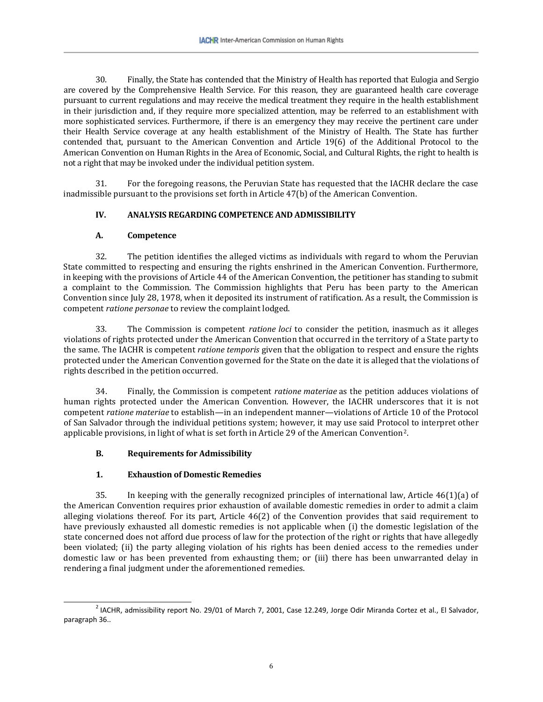30. Finally, the State has contended that the Ministry of Health has reported that Eulogia and Sergio are covered by the Comprehensive Health Service. For this reason, they are guaranteed health care coverage pursuant to current regulations and may receive the medical treatment they require in the health establishment in their jurisdiction and, if they require more specialized attention, may be referred to an establishment with more sophisticated services. Furthermore, if there is an emergency they may receive the pertinent care under their Health Service coverage at any health establishment of the Ministry of Health. The State has further contended that, pursuant to the American Convention and Article 19(6) of the Additional Protocol to the American Convention on Human Rights in the Area of Economic, Social, and Cultural Rights, the right to health is not a right that may be invoked under the individual petition system.

31. For the foregoing reasons, the Peruvian State has requested that the IACHR declare the case inadmissible pursuant to the provisions set forth in Article 47(b) of the American Convention.

### **IV. ANALYSIS REGARDING COMPETENCE AND ADMISSIBILITY**

### **A. Competence**

32. The petition identifies the alleged victims as individuals with regard to whom the Peruvian State committed to respecting and ensuring the rights enshrined in the American Convention. Furthermore, in keeping with the provisions of Article 44 of the American Convention, the petitioner has standing to submit a complaint to the Commission. The Commission highlights that Peru has been party to the American Convention since July 28, 1978, when it deposited its instrument of ratification. As a result, the Commission is competent *ratione personae* to review the complaint lodged.

33. The Commission is competent *ratione loci* to consider the petition, inasmuch as it alleges violations of rights protected under the American Convention that occurred in the territory of a State party to the same. The IACHR is competent *ratione temporis* given that the obligation to respect and ensure the rights protected under the American Convention governed for the State on the date it is alleged that the violations of rights described in the petition occurred.

34. Finally, the Commission is competent *ratione materiae* as the petition adduces violations of human rights protected under the American Convention. However, the IACHR underscores that it is not competent *ratione materiae* to establish—in an independent manner—violations of Article 10 of the Protocol of San Salvador through the individual petitions system; however, it may use said Protocol to interpret other applicable provisions, in light of what is set forth in Article 29 of the American Convention[2](#page-5-0).

## **B. Requirements for Admissibility**

### **1. Exhaustion of Domestic Remedies**

35. In keeping with the generally recognized principles of international law, Article 46(1)(a) of the American Convention requires prior exhaustion of available domestic remedies in order to admit a claim alleging violations thereof. For its part, Article 46(2) of the Convention provides that said requirement to have previously exhausted all domestic remedies is not applicable when (i) the domestic legislation of the state concerned does not afford due process of law for the protection of the right or rights that have allegedly been violated; (ii) the party alleging violation of his rights has been denied access to the remedies under domestic law or has been prevented from exhausting them; or (iii) there has been unwarranted delay in rendering a final judgment under the aforementioned remedies.

<span id="page-5-0"></span> $^{2}$  IACHR, admissibility report No. 29/01 of March 7, 2001, Case 12.249, Jorge Odir Miranda Cortez et al., El Salvador, paragraph 36.. ֧֞֝֬֝֬֝֬֝֬֝֬֝֬֝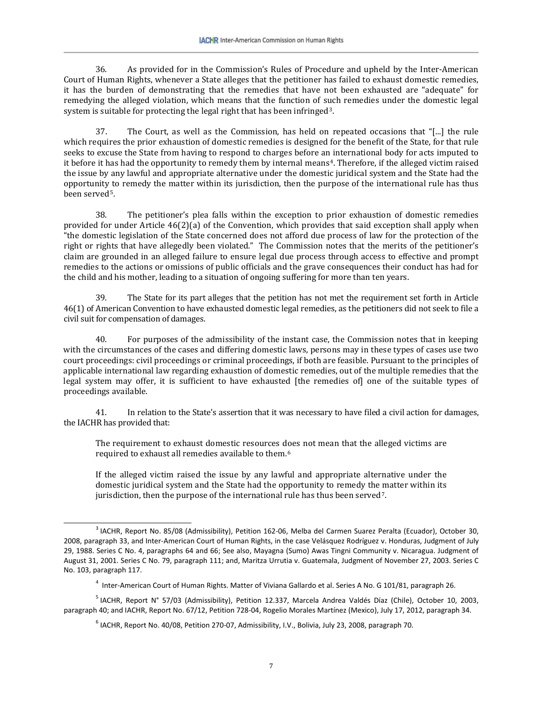36. As provided for in the Commission's Rules of Procedure and upheld by the Inter-American Court of Human Rights, whenever a State alleges that the petitioner has failed to exhaust domestic remedies, it has the burden of demonstrating that the remedies that have not been exhausted are "adequate" for remedying the alleged violation, which means that the function of such remedies under the domestic legal system is suitable for protecting the legal right that has been infringed<sup>[3](#page-6-0)</sup>.

37. The Court, as well as the Commission, has held on repeated occasions that "[...] the rule which requires the prior exhaustion of domestic remedies is designed for the benefit of the State, for that rule seeks to excuse the State from having to respond to charges before an international body for acts imputed to it before it has had the opportunity to remedy them by internal means[4.](#page-6-1) Therefore, if the alleged victim raised the issue by any lawful and appropriate alternative under the domestic juridical system and the State had the opportunity to remedy the matter within its jurisdiction, then the purpose of the international rule has thus been served[5.](#page-6-2)

38. The petitioner's plea falls within the exception to prior exhaustion of domestic remedies provided for under Article 46(2)(a) of the Convention, which provides that said exception shall apply when "the domestic legislation of the State concerned does not afford due process of law for the protection of the right or rights that have allegedly been violated." The Commission notes that the merits of the petitioner's claim are grounded in an alleged failure to ensure legal due process through access to effective and prompt remedies to the actions or omissions of public officials and the grave consequences their conduct has had for the child and his mother, leading to a situation of ongoing suffering for more than ten years.

39. The State for its part alleges that the petition has not met the requirement set forth in Article 46(1) of American Convention to have exhausted domestic legal remedies, as the petitioners did not seek to file a civil suit for compensation of damages.

40. For purposes of the admissibility of the instant case, the Commission notes that in keeping with the circumstances of the cases and differing domestic laws, persons may in these types of cases use two court proceedings: civil proceedings or criminal proceedings, if both are feasible. Pursuant to the principles of applicable international law regarding exhaustion of domestic remedies, out of the multiple remedies that the legal system may offer, it is sufficient to have exhausted [the remedies of] one of the suitable types of proceedings available.

41. In relation to the State's assertion that it was necessary to have filed a civil action for damages, the IACHR has provided that:

The requirement to exhaust domestic resources does not mean that the alleged victims are required to exhaust all remedies available to them.<sup>[6](#page-6-3)</sup>

If the alleged victim raised the issue by any lawful and appropriate alternative under the domestic juridical system and the State had the opportunity to remedy the matter within its jurisdiction, then the purpose of the international rule has thus been served<sup>[7](#page-6-4)</sup>.

<span id="page-6-0"></span><sup>3</sup> IACHR, Report No. 85/08 (Admissibility), Petition 162-06, Melba del Carmen Suarez Peralta (Ecuador), October 30, 2008, paragraph 33, and Inter-American Court of Human Rights, in the case Velásquez Rodríguez v. Honduras, Judgment of July 29, 1988. Series C No. 4, paragraphs 64 and 66; See also, Mayagna (Sumo) Awas Tingni Community v. Nicaragua. Judgment of August 31, 2001. Series C No. 79, paragraph 111; and, Maritza Urrutia v. Guatemala, Judgment of November 27, 2003. Series C No. 103, paragraph 117. ֧֞֝֬֝֬֝֬֝֬֝֬֝֬֝

<sup>&</sup>lt;sup>4</sup> Inter-American Court of Human Rights. Matter of Viviana Gallardo et al. Series A No. G 101/81, paragraph 26.

<span id="page-6-4"></span><span id="page-6-3"></span><span id="page-6-2"></span><span id="page-6-1"></span><sup>5</sup> IACHR, Report N° 57/03 (Admissibility), Petition 12.337, Marcela Andrea Valdés Díaz (Chile), October 10, 2003, paragraph 40; and IACHR, Report No. 67/12, Petition 728-04, Rogelio Morales Martínez (Mexico), July 17, 2012, paragraph 34.

 $6$  IACHR, Report No. 40/08, Petition 270-07, Admissibility, I.V., Bolivia, July 23, 2008, paragraph 70.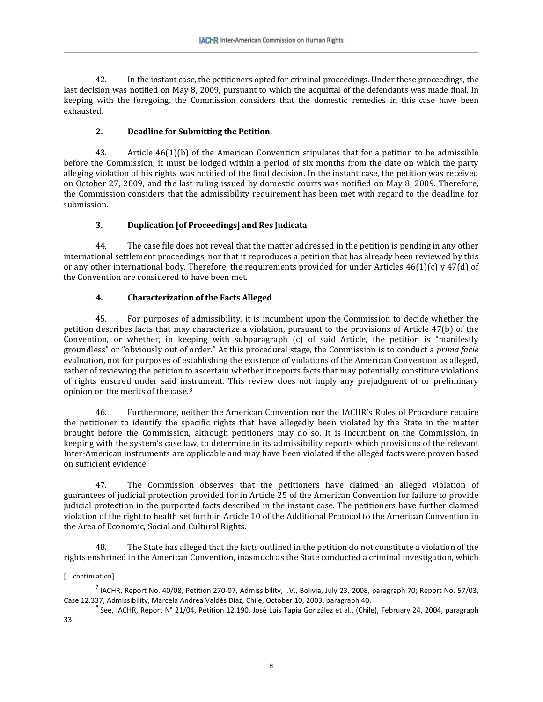42. In the instant case, the petitioners opted for criminal proceedings. Under these proceedings, the last decision was notified on May 8, 2009, pursuant to which the acquittal of the defendants was made final. In keeping with the foregoing, the Commission considers that the domestic remedies in this case have been exhausted.

#### **2. Deadline for Submitting the Petition**

43. Article 46(1)(b) of the American Convention stipulates that for a petition to be admissible before the Commission, it must be lodged within a period of six months from the date on which the party alleging violation of his rights was notified of the final decision. In the instant case, the petition was received on October 27, 2009, and the last ruling issued by domestic courts was notified on May 8, 2009. Therefore, the Commission considers that the admissibility requirement has been met with regard to the deadline for submission.

### **3. Duplication [of Proceedings] and Res Judicata**

44. The case file does not reveal that the matter addressed in the petition is pending in any other international settlement proceedings, nor that it reproduces a petition that has already been reviewed by this or any other international body. Therefore, the requirements provided for under Articles  $46(1)(c)$  y  $47(d)$  of the Convention are considered to have been met.

#### **4. Characterization of the Facts Alleged**

45. For purposes of admissibility, it is incumbent upon the Commission to decide whether the petition describes facts that may characterize a violation, pursuant to the provisions of Article 47(b) of the Convention, or whether, in keeping with subparagraph (c) of said Article, the petition is "manifestly groundless" or "obviously out of order." At this procedural stage, the Commission is to conduct a *prima facie* evaluation, not for purposes of establishing the existence of violations of the American Convention as alleged, rather of reviewing the petition to ascertain whether it reports facts that may potentially constitute violations of rights ensured under said instrument. This review does not imply any prejudgment of or preliminary opinion on the merits of the case.[8](#page-7-0)

46. Furthermore, neither the American Convention nor the IACHR's Rules of Procedure require the petitioner to identify the specific rights that have allegedly been violated by the State in the matter brought before the Commission, although petitioners may do so. It is incumbent on the Commission, in keeping with the system's case law, to determine in its admissibility reports which provisions of the relevant Inter-American instruments are applicable and may have been violated if the alleged facts were proven based on sufficient evidence.

47. The Commission observes that the petitioners have claimed an alleged violation of guarantees of judicial protection provided for in Article 25 of the American Convention for failure to provide judicial protection in the purported facts described in the instant case. The petitioners have further claimed violation of the right to health set forth in Article 10 of the Additional Protocol to the American Convention in the Area of Economic, Social and Cultural Rights.

48. The State has alleged that the facts outlined in the petition do not constitute a violation of the rights enshrined in the American Convention, inasmuch as the State conducted a criminal investigation, which

<sup>֧֞֝֬֝֬֝֬֝֬֝֬֝֬֝</sup> [… continuation]

<sup>&</sup>lt;sup>7</sup> IACHR, Report No. 40/08, Petition 270-07, Admissibility, I.V., Bolivia, July 23, 2008, paragraph 70; Report No. 57/03, Case 12.337, Admissibility, Marcela Andrea Valdés Díaz, Chile, October 10, 2003, paragraph 40.

<span id="page-7-0"></span> $^8$  See, IACHR, Report N° 21/04, Petition 12.190, José Luís Tapia González et al., (Chile), February 24, 2004, paragraph 33.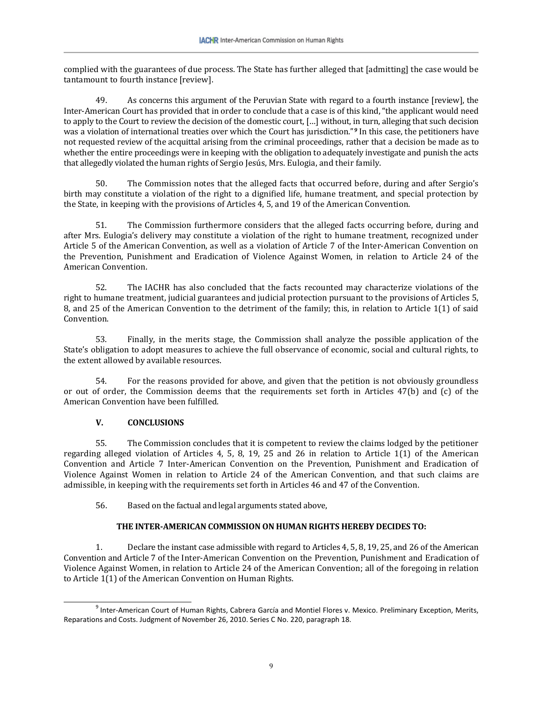complied with the guarantees of due process. The State has further alleged that [admitting] the case would be tantamount to fourth instance [review].

49. As concerns this argument of the Peruvian State with regard to a fourth instance [review], the Inter-American Court has provided that in order to conclude that a case is of this kind, "the applicant would need to apply to the Court to review the decision of the domestic court, […] without, in turn, alleging that such decision was a violation of international treaties over which the Court has jurisdiction."<sup>[9](#page-8-0)</sup> In this case, the petitioners have not requested review of the acquittal arising from the criminal proceedings, rather that a decision be made as to whether the entire proceedings were in keeping with the obligation to adequately investigate and punish the acts that allegedly violated the human rights of Sergio Jesús, Mrs. Eulogia, and their family.

50. The Commission notes that the alleged facts that occurred before, during and after Sergio's birth may constitute a violation of the right to a dignified life, humane treatment, and special protection by the State, in keeping with the provisions of Articles 4, 5, and 19 of the American Convention.

51. The Commission furthermore considers that the alleged facts occurring before, during and after Mrs. Eulogia's delivery may constitute a violation of the right to humane treatment, recognized under Article 5 of the American Convention, as well as a violation of Article 7 of the Inter-American Convention on the Prevention, Punishment and Eradication of Violence Against Women, in relation to Article 24 of the American Convention.

52. The IACHR has also concluded that the facts recounted may characterize violations of the right to humane treatment, judicial guarantees and judicial protection pursuant to the provisions of Articles 5, 8, and 25 of the American Convention to the detriment of the family; this, in relation to Article 1(1) of said Convention.

53. Finally, in the merits stage, the Commission shall analyze the possible application of the State's obligation to adopt measures to achieve the full observance of economic, social and cultural rights, to the extent allowed by available resources.

54. For the reasons provided for above, and given that the petition is not obviously groundless or out of order, the Commission deems that the requirements set forth in Articles 47(b) and (c) of the American Convention have been fulfilled.

### **V. CONCLUSIONS**

55. The Commission concludes that it is competent to review the claims lodged by the petitioner regarding alleged violation of Articles 4, 5, 8, 19, 25 and 26 in relation to Article 1(1) of the American Convention and Article 7 Inter-American Convention on the Prevention, Punishment and Eradication of Violence Against Women in relation to Article 24 of the American Convention, and that such claims are admissible, in keeping with the requirements set forth in Articles 46 and 47 of the Convention.

56. Based on the factual and legal arguments stated above,

### **THE INTER-AMERICAN COMMISSION ON HUMAN RIGHTS HEREBY DECIDES TO:**

1. Declare the instant case admissible with regard to Articles 4, 5, 8, 19, 25, and 26 of the American Convention and Article 7 of the Inter-American Convention on the Prevention, Punishment and Eradication of Violence Against Women, in relation to Article 24 of the American Convention; all of the foregoing in relation to Article 1(1) of the American Convention on Human Rights.

<span id="page-8-0"></span><sup>&</sup>lt;sup>9</sup> Inter-American Court of Human Rights, Cabrera García and Montiel Flores v. Mexico. Preliminary Exception, Merits, Reparations and Costs. Judgment of November 26, 2010. Series C No. 220, paragraph 18. ֧֞֝֬֝֬֝֬֝֬֝֬֝֬֝